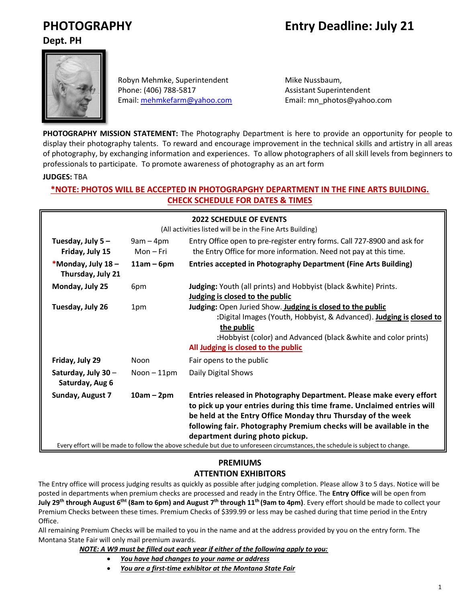# **PHOTOGRAPHY Entry Deadline: July 21**

**Dept. PH**



Robyn Mehmke, Superintendent Mike Nussbaum, Phone: (406) 788-5817 Assistant Superintendent Email: [mehmkefarm@yahoo.com](mailto:mehmkefarm@yahoo.com) Email: mn\_photos@yahoo.com

**PHOTOGRAPHY MISSION STATEMENT:** The Photography Department is here to provide an opportunity for people to display their photography talents. To reward and encourage improvement in the technical skills and artistry in all areas of photography, by exchanging information and experiences. To allow photographers of all skill levels from beginners to professionals to participate. To promote awareness of photography as an art form

#### **JUDGES:** TBA

# **\*NOTE: PHOTOS WILL BE ACCEPTED IN PHOTOGRAPGHY DEPARTMENT IN THE FINE ARTS BUILDING. CHECK SCHEDULE FOR DATES & TIMES**

| <b>2022 SCHEDULE OF EVENTS</b><br>(All activities listed will be in the Fine Arts Building)                                    |                          |                                                                                                                                                                                                                                                                                                                          |  |
|--------------------------------------------------------------------------------------------------------------------------------|--------------------------|--------------------------------------------------------------------------------------------------------------------------------------------------------------------------------------------------------------------------------------------------------------------------------------------------------------------------|--|
| Tuesday, July 5-<br>Friday, July 15                                                                                            | $9am - 4pm$<br>Mon – Fri | Entry Office open to pre-register entry forms. Call 727-8900 and ask for<br>the Entry Office for more information. Need not pay at this time.                                                                                                                                                                            |  |
| *Monday, July 18-<br>Thursday, July 21                                                                                         | $11am - 6pm$             | <b>Entries accepted in Photography Department (Fine Arts Building)</b>                                                                                                                                                                                                                                                   |  |
| Monday, July 25                                                                                                                | 6pm                      | Judging: Youth (all prints) and Hobbyist (black & white) Prints.<br>Judging is closed to the public                                                                                                                                                                                                                      |  |
| Tuesday, July 26                                                                                                               | 1pm                      | Judging: Open Juried Show. Judging is closed to the public<br>:Digital Images (Youth, Hobbyist, & Advanced). Judging is closed to<br>the public<br>:Hobbyist (color) and Advanced (black & white and color prints)<br>All Judging is closed to the public                                                                |  |
| Friday, July 29                                                                                                                | <b>Noon</b>              | Fair opens to the public                                                                                                                                                                                                                                                                                                 |  |
| Saturday, July 30 -<br>Saturday, Aug 6                                                                                         | $Noon - 11pm$            | Daily Digital Shows                                                                                                                                                                                                                                                                                                      |  |
| Sunday, August 7                                                                                                               | $10am - 2pm$             | Entries released in Photography Department. Please make every effort<br>to pick up your entries during this time frame. Unclaimed entries will<br>be held at the Entry Office Monday thru Thursday of the week<br>following fair. Photography Premium checks will be available in the<br>department during photo pickup. |  |
| Every effort will be made to follow the above schedule but due to unforeseen circumstances, the schedule is subject to change. |                          |                                                                                                                                                                                                                                                                                                                          |  |

# **PREMIUMS ATTENTION EXHIBITORS**

The Entry office will process judging results as quickly as possible after judging completion. Please allow 3 to 5 days. Notice will be posted in departments when premium checks are processed and ready in the Entry Office. The **Entry Office** will be open from **July 29<sup>th</sup> through August 6<sup>tht</sup> (8am to 6pm) and August 7<sup>th</sup> through 11<sup>th</sup> (9am to 4pm). Every effort should be made to collect your** Premium Checks between these times. Premium Checks of \$399.99 or less may be cashed during that time period in the Entry Office.

All remaining Premium Checks will be mailed to you in the name and at the address provided by you on the entry form. The Montana State Fair will only mail premium awards.

*NOTE: A W9 must be filled out each year if either of the following apply to you:*

- *You have had changes to your name or address*
- *You are a first-time exhibitor at the Montana State Fair*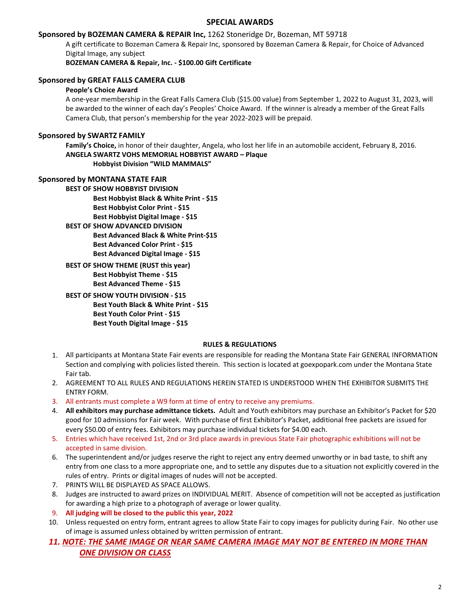#### **SPECIAL AWARDS**

#### **Sponsored by BOZEMAN CAMERA & REPAIR Inc,** 1262 Stoneridge Dr, Bozeman, MT 59718

A gift certificate to Bozeman Camera & Repair Inc, sponsored by Bozeman Camera & Repair, for Choice of Advanced Digital Image, any subject

**BOZEMAN CAMERA & Repair, Inc. - \$100.00 Gift Certificate**

#### **Sponsored by GREAT FALLS CAMERA CLUB**

#### **People's Choice Award**

A one-year membership in the Great Falls Camera Club (\$15.00 value) from September 1, 2022 to August 31, 2023, will be awarded to the winner of each day's Peoples' Choice Award. If the winner is already a member of the Great Falls Camera Club, that person's membership for the year 2022-2023 will be prepaid.

#### **Sponsored by SWARTZ FAMILY**

**Family's Choice,** in honor of their daughter, Angela, who lost her life in an automobile accident, February 8, 2016. **ANGELA SWARTZ VOHS MEMORIAL HOBBYIST AWARD – Plaque Hobbyist Division "WILD MAMMALS"**

#### **Sponsored by MONTANA STATE FAIR**

**BEST OF SHOW HOBBYIST DIVISION Best Hobbyist Black & White Print - \$15 Best Hobbyist Color Print - \$15 Best Hobbyist Digital Image - \$15**

- **BEST OF SHOW ADVANCED DIVISION Best Advanced Black & White Print-\$15 Best Advanced Color Print - \$15 Best Advanced Digital Image - \$15**
- **BEST OF SHOW THEME (RUST this year) Best Hobbyist Theme - \$15 Best Advanced Theme - \$15**

**BEST OF SHOW YOUTH DIVISION - \$15 Best Youth Black & White Print - \$15 Best Youth Color Print - \$15 Best Youth Digital Image - \$15**

#### **RULES & REGULATIONS**

- 1. All participants at Montana State Fair events are responsible for reading the Montana State Fair GENERAL INFORMATION Section and complying with policies listed therein. This section is located at goexpopark.com under the Montana State Fair tab.
- 2. AGREEMENT TO ALL RULES AND REGULATIONS HEREIN STATED IS UNDERSTOOD WHEN THE EXHIBITOR SUBMITS THE ENTRY FORM.
- 3. All entrants must complete a W9 form at time of entry to receive any premiums.
- 4. **All exhibitors may purchase admittance tickets.** Adult and Youth exhibitors may purchase an Exhibitor's Packet for \$20 good for 10 admissions for Fair week. With purchase of first Exhibitor's Packet, additional free packets are issued for every \$50.00 of entry fees. Exhibitors may purchase individual tickets for \$4.00 each.
- 5. Entries which have received 1st, 2nd or 3rd place awards in previous State Fair photographic exhibitions will not be accepted in same division.
- 6. The superintendent and/or judges reserve the right to reject any entry deemed unworthy or in bad taste, to shift any entry from one class to a more appropriate one, and to settle any disputes due to a situation not explicitly covered in the rules of entry. Prints or digital images of nudes will not be accepted.
- 7. PRINTS WILL BE DISPLAYED AS SPACE ALLOWS.
- 8. Judges are instructed to award prizes on INDIVIDUAL MERIT. Absence of competition will not be accepted as justification for awarding a high prize to a photograph of average or lower quality.
- 9. **All judging will be closed to the public this year, 2022**
- 10. Unless requested on entry form, entrant agrees to allow State Fair to copy images for publicity during Fair. No other use of image is assumed unless obtained by written permission of entrant.
- *11. NOTE: THE SAME IMAGE OR NEAR SAME CAMERA IMAGE MAY NOT BE ENTERED IN MORE THAN ONE DIVISION OR CLASS*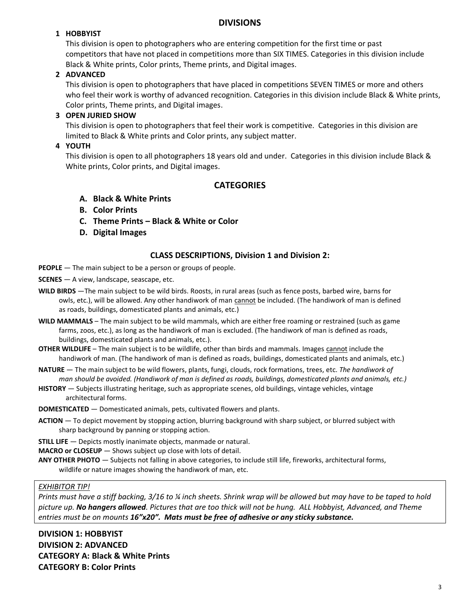# **DIVISIONS**

# **1 HOBBYIST**

This division is open to photographers who are entering competition for the first time or past competitors that have not placed in competitions more than SIX TIMES. Categories in this division include Black & White prints, Color prints, Theme prints, and Digital images.

# **2 ADVANCED**

This division is open to photographers that have placed in competitions SEVEN TIMES or more and others who feel their work is worthy of advanced recognition. Categories in this division include Black & White prints, Color prints, Theme prints, and Digital images.

# **3 OPEN JURIED SHOW**

This division is open to photographers that feel their work is competitive. Categories in this division are limited to Black & White prints and Color prints, any subject matter.

# **4 YOUTH**

This division is open to all photographers 18 years old and under. Categories in this division include Black & White prints, Color prints, and Digital images.

# **CATEGORIES**

- **A. Black & White Prints**
- **B. Color Prints**
- **C. Theme Prints – Black & White or Color**
- **D. Digital Images**

# **CLASS DESCRIPTIONS, Division 1 and Division 2:**

- **PEOPLE** The main subject to be a person or groups of people.
- **SCENES** A view, landscape, seascape, etc.
- **WILD BIRDS** —The main subject to be wild birds. Roosts, in rural areas (such as fence posts, barbed wire, barns for owls, etc.), will be allowed. Any other handiwork of man cannot be included. (The handiwork of man is defined as roads, buildings, domesticated plants and animals, etc.)
- **WILD MAMMALS** The main subject to be wild mammals, which are either free roaming or restrained (such as game farms, zoos, etc.), as long as the handiwork of man is excluded. (The handiwork of man is defined as roads, buildings, domesticated plants and animals, etc.).
- **OTHER WILDLIFE** The main subject is to be wildlife, other than birds and mammals. Images cannot include the handiwork of man. (The handiwork of man is defined as roads, buildings, domesticated plants and animals, etc.)
- **NATURE** The main subject to be wild flowers, plants, fungi, clouds, rock formations, trees, etc. *The handiwork of man should be avoided. (Handiwork of man is defined as roads, buildings, domesticated plants and animals, etc.)*
- **HISTORY** Subjects illustrating heritage, such as appropriate scenes, old buildings, vintage vehicles, vintage architectural forms.
- **DOMESTICATED** Domesticated animals, pets, cultivated flowers and plants.
- **ACTION**  To depict movement by stopping action, blurring background with sharp subject, or blurred subject with sharp background by panning or stopping action.
- **STILL LIFE** Depicts mostly inanimate objects, manmade or natural.
- **MACRO or CLOSEUP** Shows subject up close with lots of detail.
- **ANY OTHER PHOTO** Subjects not falling in above categories, to include still life, fireworks, architectural forms, wildlife or nature images showing the handiwork of man, etc.

### *EXHIBITOR TIP!*

*Prints must have a stiff backing, 3/16 to ¼ inch sheets. Shrink wrap will be allowed but may have to be taped to hold picture up. No hangers allowed. Pictures that are too thick will not be hung. ALL Hobbyist, Advanced, and Theme entries must be on mounts 16"x20". Mats must be free of adhesive or any sticky substance.*

**DIVISION 1: HOBBYIST DIVISION 2: ADVANCED CATEGORY A: Black & White Prints CATEGORY B: Color Prints**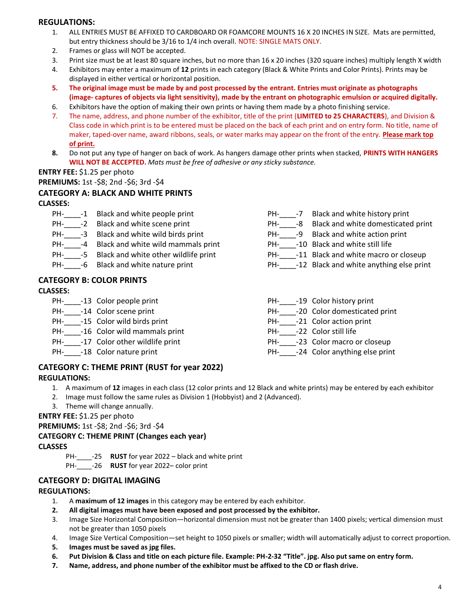### **REGULATIONS:**

- 1. ALL ENTRIES MUST BE AFFIXED TO CARDBOARD OR FOAMCORE MOUNTS 16 X 20 INCHES IN SIZE. Mats are permitted, but entry thickness should be 3/16 to 1/4 inch overall. NOTE: SINGLE MATS ONLY.
- 2. Frames or glass will NOT be accepted.
- 3. Print size must be at least 80 square inches, but no more than 16 x 20 inches (320 square inches) multiply length X width
- 4. Exhibitors may enter a maximum of **12** prints in each category (Black & White Prints and Color Prints). Prints may be displayed in either vertical or horizontal position.
- **5. The original image must be made by and post processed by the entrant. Entries must originate as photographs (image- captures of objects via light sensitivity), made by the entrant on photographic emulsion or acquired digitally.**
- 6. Exhibitors have the option of making their own prints or having them made by a photo finishing service.
- 7. The name, address, and phone number of the exhibitor, title of the print (**LIMITED to 25 CHARACTERS**), and Division & Class code in which print is to be entered must be placed on the back of each print and on entry form. No title, name of maker, taped-over name, award ribbons, seals, or water marks may appear on the front of the entry. **Please mark top of print.**
- **8.** Do not put any type of hanger on back of work. As hangers damage other prints when stacked, **PRINTS WITH HANGERS WILL NOT BE ACCEPTED.** *Mats must be free of adhesive or any sticky substance.*

#### **ENTRY FEE:** \$1.25 per photo

**PREMIUMS:** 1st -\$8; 2nd -\$6; 3rd -\$4

# **CATEGORY A: BLACK AND WHITE PRINTS**

**CLASSES:**

- PH- -1 Black and white people print
- PH-\_\_\_\_\_-2 Black and white scene print
- PH-\_\_\_\_\_-3 Black and white wild birds print
- PH- -4 Black and white wild mammals print
- PH- -5 Black and white other wildlife print
- PH- -6 Black and white nature print

# **CATEGORY B: COLOR PRINTS**

# **CLASSES:**

- PH-\_\_\_\_\_-13 Color people print
- PH- -14 Color scene print
- PH-\_\_\_\_\_-15 Color wild birds print
- PH- -16 Color wild mammals print
- PH-\_\_\_\_\_-17 Color other wildlife print
- PH- -18 Color nature print
- PH- -7 Black and white history print
- PH-\_\_\_\_-8 Black and white domesticated print
- PH- -9 Black and white action print
- PH-\_\_\_\_\_-10 Black and white still life
- PH- -11 Black and white macro or closeup
- PH- -12 Black and white anything else print
- PH-\_\_\_\_-19 Color history print
- PH-\_\_\_\_\_-20 Color domesticated print
- PH-\_\_\_\_\_-21 Color action print
- PH- -22 Color still life
- PH-\_\_\_\_\_-23 Color macro or closeup
- PH- -24 Color anything else print

# **CATEGORY C: THEME PRINT (RUST for year 2022)**

#### **REGULATIONS:**

- 1. A maximum of **12** images in each class (12 color prints and 12 Black and white prints) may be entered by each exhibitor
- 2. Image must follow the same rules as Division 1 (Hobbyist) and 2 (Advanced).
- 3. Theme will change annually.

#### **ENTRY FEE:** \$1.25 per photo

**PREMIUMS:** 1st -\$8; 2nd -\$6; 3rd -\$4

# **CATEGORY C: THEME PRINT (Changes each year)**

#### **CLASSES**

- PH-\_\_\_\_-25 **RUST** for year 2022 black and white print
- PH-\_\_\_\_-26 **RUST** for year 2022– color print

# **CATEGORY D: DIGITAL IMAGING**

#### **REGULATIONS:**

- 1. A **maximum of 12 images** in this category may be entered by each exhibitor.
- **2. All digital images must have been exposed and post processed by the exhibitor.**
- 3. Image Size Horizontal Composition—horizontal dimension must not be greater than 1400 pixels; vertical dimension must not be greater than 1050 pixels
- 4. Image Size Vertical Composition—set height to 1050 pixels or smaller; width will automatically adjust to correct proportion.
- **5. Images must be saved as jpg files.**
- **6. Put Division & Class and title on each picture file. Example: PH-2-32 "Title". jpg. Also put same on entry form.**
- **7. Name, address, and phone number of the exhibitor must be affixed to the CD or flash drive.**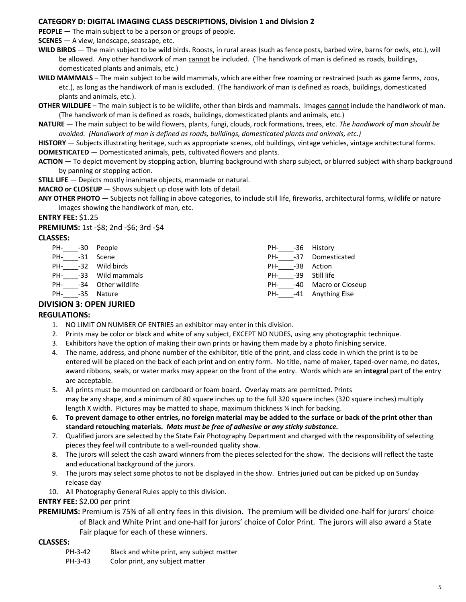#### **CATEGORY D: DIGITAL IMAGING CLASS DESCRIPTIONS, Division 1 and Division 2**

**PEOPLE** – The main subject to be a person or groups of people.

**SCENES** — A view, landscape, seascape, etc.

**WILD BIRDS** — The main subject to be wild birds. Roosts, in rural areas (such as fence posts, barbed wire, barns for owls, etc.), will be allowed. Any other handiwork of man cannot be included. (The handiwork of man is defined as roads, buildings, domesticated plants and animals, etc.)

**WILD MAMMALS** – The main subject to be wild mammals, which are either free roaming or restrained (such as game farms, zoos, etc.), as long as the handiwork of man is excluded. (The handiwork of man is defined as roads, buildings, domesticated plants and animals, etc.).

**OTHER WILDLIFE** – The main subject is to be wildlife, other than birds and mammals. Images cannot include the handiwork of man. (The handiwork of man is defined as roads, buildings, domesticated plants and animals, etc.)

**NATURE** — The main subject to be wild flowers, plants, fungi, clouds, rock formations, trees, etc. *The handiwork of man should be avoided. (Handiwork of man is defined as roads, buildings, domesticated plants and animals, etc.)* 

**HISTORY** — Subjects illustrating heritage, such as appropriate scenes, old buildings, vintage vehicles, vintage architectural forms. **DOMESTICATED** — Domesticated animals, pets, cultivated flowers and plants.

**ACTION** — To depict movement by stopping action, blurring background with sharp subject, or blurred subject with sharp background by panning or stopping action.

**STILL LIFE** - Depicts mostly inanimate objects, manmade or natural.

**MACRO or CLOSEUP** — Shows subject up close with lots of detail.

**ANY OTHER PHOTO** — Subjects not falling in above categories, to include still life, fireworks, architectural forms, wildlife or nature images showing the handiwork of man, etc.

#### **ENTRY FEE:** \$1.25

**PREMIUMS:** 1st -\$8; 2nd -\$6; 3rd -\$4

#### **CLASSES:**

| PH- -30 People     |                        | PH- -36 History    |                          |
|--------------------|------------------------|--------------------|--------------------------|
| PH- -31 Scene      |                        |                    | PH- -37 Domesticated     |
| PH- -32 Wild birds |                        | PH- -38 Action     |                          |
|                    | PH- -33 Wild mammals   | PH- -39 Still life |                          |
|                    | PH- -34 Other wildlife |                    | PH- -40 Macro or Closeup |
| PH- -35 Nature     |                        |                    | PH- -41 Anything Else    |
|                    |                        |                    |                          |

#### **DIVISION 3: OPEN JURIED**

#### **REGULATIONS:**

- 1. NO LIMIT ON NUMBER OF ENTRIES an exhibitor may enter in this division.
- 2. Prints may be color or black and white of any subject, EXCEPT NO NUDES, using any photographic technique.
- 3. Exhibitors have the option of making their own prints or having them made by a photo finishing service.
- 4. The name, address, and phone number of the exhibitor, title of the print, and class code in which the print is to be entered will be placed on the back of each print and on entry form. No title, name of maker, taped-over name, no dates, award ribbons, seals, or water marks may appear on the front of the entry. Words which are an **integral** part of the entry are acceptable.
- 5. All prints must be mounted on cardboard or foam board. Overlay mats are permitted. Prints may be any shape, and a minimum of 80 square inches up to the full 320 square inches (320 square inches) multiply length X width. Pictures may be matted to shape, maximum thickness ¼ inch for backing.
- **6. To prevent damage to other entries, no foreign material may be added to the surface or back of the print other than standard retouching materials.** *Mats must be free of adhesive or any sticky substance.*
- 7. Qualified jurors are selected by the State Fair Photography Department and charged with the responsibility of selecting pieces they feel will contribute to a well-rounded quality show.
- 8. The jurors will select the cash award winners from the pieces selected for the show. The decisions will reflect the taste and educational background of the jurors.
- 9. The jurors may select some photos to not be displayed in the show. Entries juried out can be picked up on Sunday release day
- 10. All Photography General Rules apply to this division.

#### **ENTRY FEE:** \$2.00 per print

**PREMIUMS:** Premium is 75% of all entry fees in this division. The premium will be divided one-half for jurors' choice of Black and White Print and one-half for jurors' choice of Color Print. The jurors will also award a State Fair plaque for each of these winners.

#### **CLASSES:**

PH-3-42 Black and white print, any subject matter

PH-3-43 Color print, any subject matter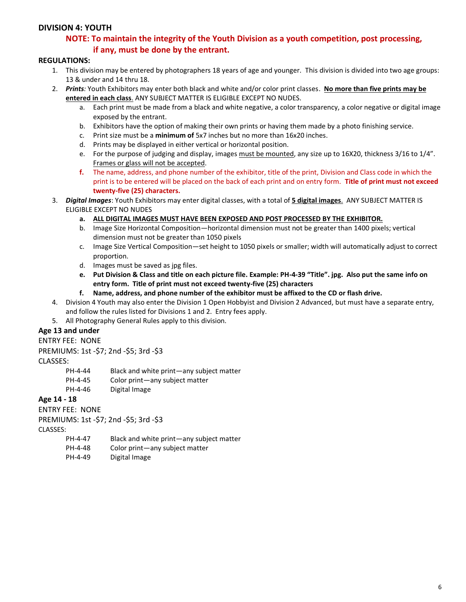#### **DIVISION 4: YOUTH**

# **NOTE: To maintain the integrity of the Youth Division as a youth competition, post processing, if any, must be done by the entrant.**

#### **REGULATIONS:**

- 1. This division may be entered by photographers 18 years of age and younger. This division is divided into two age groups: 13 & under and 14 thru 18.
- 2. *Prints:* Youth Exhibitors may enter both black and white and/or color print classes. **No more than five prints may be entered in each class**. ANY SUBJECT MATTER IS ELIGIBLE EXCEPT NO NUDES.
	- a. Each print must be made from a black and white negative, a color transparency, a color negative or digital image exposed by the entrant.
	- b. Exhibitors have the option of making their own prints or having them made by a photo finishing service.
	- c. Print size must be a **minimum of** 5x7 inches but no more than 16x20 inches.
	- d. Prints may be displayed in either vertical or horizontal position.
	- e. For the purpose of judging and display, images must be mounted, any size up to 16X20, thickness 3/16 to 1/4". Frames or glass will not be accepted.
	- **f.** The name, address, and phone number of the exhibitor, title of the print, Division and Class code in which the print is to be entered will be placed on the back of each print and on entry form. **Title of print must not exceed twenty-five (25) characters.**
- 3. *Digital Images*: Youth Exhibitors may enter digital classes, with a total of **5 digital images**. ANY SUBJECT MATTER IS ELIGIBLE EXCEPT NO NUDES
	- **a. ALL DIGITAL IMAGES MUST HAVE BEEN EXPOSED AND POST PROCESSED BY THE EXHIBITOR.**
	- b. Image Size Horizontal Composition—horizontal dimension must not be greater than 1400 pixels; vertical dimension must not be greater than 1050 pixels
	- c. Image Size Vertical Composition—set height to 1050 pixels or smaller; width will automatically adjust to correct proportion.
	- d. Images must be saved as jpg files.
	- **e. Put Division & Class and title on each picture file. Example: PH-4-39 "Title". jpg. Also put the same info on entry form. Title of print must not exceed twenty-five (25) characters**
	- **f. Name, address, and phone number of the exhibitor must be affixed to the CD or flash drive.**
- 4. Division 4 Youth may also enter the Division 1 Open Hobbyist and Division 2 Advanced, but must have a separate entry, and follow the rules listed for Divisions 1 and 2. Entry fees apply.
- 5. All Photography General Rules apply to this division.

#### **Age 13 and under**

#### ENTRY FEE: NONE

PREMIUMS: 1st -\$7; 2nd -\$5; 3rd -\$3

#### CLASSES:

- PH-4-44 Black and white print—any subject matter
- PH-4-45 Color print—any subject matter
- PH-4-46 Digital Image

#### **Age 14 - 18**

#### ENTRY FEE: NONE

PREMIUMS: 1st -\$7; 2nd -\$5; 3rd -\$3

CLASSES:

- PH-4-47 Black and white print—any subject matter
- PH-4-48 Color print—any subject matter
- PH-4-49 Digital Image